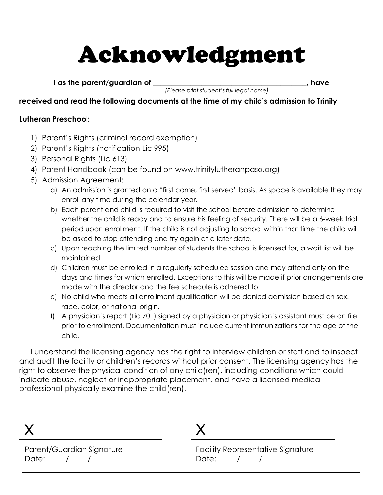# Acknowledgment

I as the parent/guardian of \_\_\_\_\_\_\_\_\_\_\_\_\_\_\_\_\_\_\_\_\_\_\_\_\_\_\_\_\_\_\_\_\_\_\_\_\_\_\_\_\_, have

(Please print student's full legal name)

#### received and read the following documents at the time of my child's admission to Trinity

#### Lutheran Preschool:

- 1) Parent's Rights (criminal record exemption)
- 2) Parent's Rights (notification Lic 995)
- 3) Personal Rights (Lic 613)
- 4) Parent Handbook (can be found on www.trinitylutheranpaso.org)
- 5) Admission Agreement:
	- a) An admission is granted on a "first come, first served" basis. As space is available they may enroll any time during the calendar year.
	- b) Each parent and child is required to visit the school before admission to determine whether the child is ready and to ensure his feeling of security. There will be a 6-week trial period upon enrollment. If the child is not adjusting to school within that time the child will be asked to stop attending and try again at a later date.
	- c) Upon reaching the limited number of students the school is licensed for, a wait list will be maintained.
	- d) Children must be enrolled in a regularly scheduled session and may attend only on the days and times for which enrolled. Exceptions to this will be made if prior arrangements are made with the director and the fee schedule is adhered to.
	- e) No child who meets all enrollment qualification will be denied admission based on sex. race, color, or national origin.
	- f) A physician's report (Lic 701) signed by a physician or physician's assistant must be on file prior to enrollment. Documentation must include current immunizations for the age of the child.

I understand the licensing agency has the right to interview children or staff and to inspect and audit the facility or children's records without prior consent. The licensing agency has the right to observe the physical condition of any child(ren), including conditions which could indicate abuse, neglect or inappropriate placement, and have a licensed medical professional physically examine the child(ren).

Parent/Guardian Signature Date: \_\_\_\_\_/\_\_\_\_\_/\_\_\_\_\_\_

# X

Facility Representative Signature Date: \_\_\_\_\_/\_\_\_\_\_/\_\_\_\_\_\_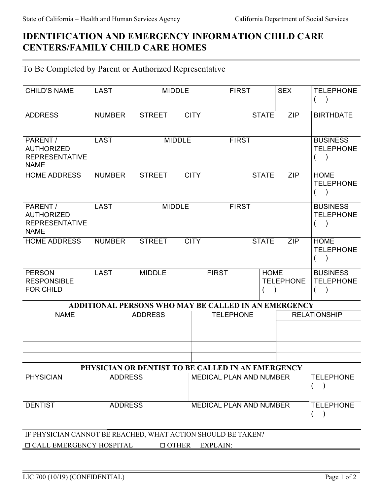## IDENTIFICATION AND EMERGENCY INFORMATION CHILD CARE CENTERS/FAMILY CHILD CARE HOMES

## To Be Completed by Parent or Authorized Representative

| <b>CHILD'S NAME</b>                                                   | <b>LAST</b> |                | <b>MIDDLE</b>  |               |              | <b>FIRST</b>                                                |              | <b>SEX</b>                          | <b>TELEPHONE</b><br>$\overline{(}$          |
|-----------------------------------------------------------------------|-------------|----------------|----------------|---------------|--------------|-------------------------------------------------------------|--------------|-------------------------------------|---------------------------------------------|
| <b>ADDRESS</b>                                                        |             | <b>NUMBER</b>  | <b>STREET</b>  |               | <b>CITY</b>  |                                                             | <b>STATE</b> | <b>ZIP</b>                          | <b>BIRTHDATE</b>                            |
| PARENT /<br><b>AUTHORIZED</b><br><b>REPRESENTATIVE</b><br><b>NAME</b> | <b>LAST</b> |                |                | <b>MIDDLE</b> |              | <b>FIRST</b>                                                |              |                                     | <b>BUSINESS</b><br><b>TELEPHONE</b><br>(    |
| <b>HOME ADDRESS</b>                                                   |             | <b>NUMBER</b>  | <b>STREET</b>  |               | <b>CITY</b>  |                                                             | <b>STATE</b> | <b>ZIP</b>                          | <b>HOME</b><br><b>TELEPHONE</b><br>$\left($ |
| PARENT /<br><b>AUTHORIZED</b><br><b>REPRESENTATIVE</b><br><b>NAME</b> | <b>LAST</b> |                | <b>MIDDLE</b>  |               | <b>FIRST</b> |                                                             |              | <b>BUSINESS</b><br><b>TELEPHONE</b> |                                             |
| <b>HOME ADDRESS</b>                                                   |             | <b>NUMBER</b>  | <b>STREET</b>  |               | <b>CITY</b>  |                                                             | <b>STATE</b> | <b>ZIP</b>                          | <b>HOME</b><br><b>TELEPHONE</b><br>(        |
| <b>PERSON</b><br><b>RESPONSIBLE</b><br><b>FOR CHILD</b>               | <b>LAST</b> |                | <b>MIDDLE</b>  |               |              | <b>FIRST</b>                                                | <b>HOME</b>  | <b>TELEPHONE</b>                    | <b>BUSINESS</b><br><b>TELEPHONE</b><br>€    |
|                                                                       |             |                |                |               |              | <b>ADDITIONAL PERSONS WHO MAY BE CALLED IN AN EMERGENCY</b> |              |                                     |                                             |
| <b>NAME</b>                                                           |             |                | <b>ADDRESS</b> |               |              | <b>TELEPHONE</b>                                            |              |                                     | <b>RELATIONSHIP</b>                         |
|                                                                       |             |                |                |               |              |                                                             |              |                                     |                                             |
|                                                                       |             |                |                |               |              |                                                             |              |                                     |                                             |
|                                                                       |             |                |                |               |              |                                                             |              |                                     |                                             |
|                                                                       |             |                |                |               |              |                                                             |              |                                     |                                             |
|                                                                       |             |                |                |               |              | PHYSICIAN OR DENTIST TO BE CALLED IN AN EMERGENCY           |              |                                     |                                             |
| <b>PHYSICIAN</b>                                                      |             | <b>ADDRESS</b> |                |               |              | <b>MEDICAL PLAN AND NUMBER</b>                              |              |                                     | <b>TELEPHONE</b>                            |
| <b>DENTIST</b>                                                        |             | <b>ADDRESS</b> |                |               |              | MEDICAL PLAN AND NUMBER                                     |              |                                     | <b>TELEPHONE</b>                            |
| IF PHYSICIAN CANNOT BE REACHED, WHAT ACTION SHOULD BE TAKEN?          |             |                |                |               |              |                                                             |              |                                     |                                             |
| <b>O CALL EMERGENCY HOSPITAL</b><br>$\Box$ OTHER<br><b>EXPLAIN:</b>   |             |                |                |               |              |                                                             |              |                                     |                                             |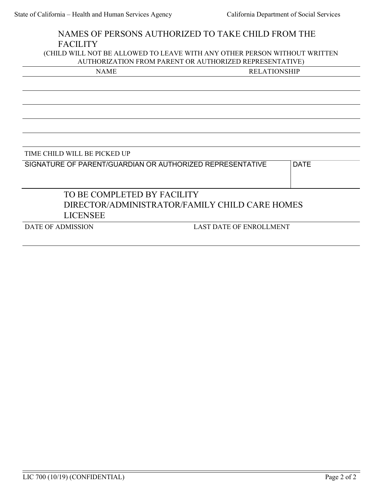| NAMES OF PERSONS AUTHORIZED TO TAKE CHILD FROM THE                        |                                |             |  |  |
|---------------------------------------------------------------------------|--------------------------------|-------------|--|--|
| <b>FACILITY</b>                                                           |                                |             |  |  |
| (CHILD WILL NOT BE ALLOWED TO LEAVE WITH ANY OTHER PERSON WITHOUT WRITTEN |                                |             |  |  |
| AUTHORIZATION FROM PARENT OR AUTHORIZED REPRESENTATIVE)                   |                                |             |  |  |
| <b>NAME</b>                                                               | <b>RELATIONSHIP</b>            |             |  |  |
|                                                                           |                                |             |  |  |
|                                                                           |                                |             |  |  |
|                                                                           |                                |             |  |  |
|                                                                           |                                |             |  |  |
|                                                                           |                                |             |  |  |
|                                                                           |                                |             |  |  |
|                                                                           |                                |             |  |  |
| TIME CHILD WILL BE PICKED UP                                              |                                |             |  |  |
| SIGNATURE OF PARENT/GUARDIAN OR AUTHORIZED REPRESENTATIVE                 |                                | <b>DATE</b> |  |  |
|                                                                           |                                |             |  |  |
|                                                                           |                                |             |  |  |
| TO BE COMPLETED BY FACILITY                                               |                                |             |  |  |
| DIRECTOR/ADMINISTRATOR/FAMILY CHILD CARE HOMES                            |                                |             |  |  |
| <b>LICENSEE</b>                                                           |                                |             |  |  |
| <b>DATE OF ADMISSION</b>                                                  | <b>LAST DATE OF ENROLLMENT</b> |             |  |  |
|                                                                           |                                |             |  |  |
|                                                                           |                                |             |  |  |
|                                                                           |                                |             |  |  |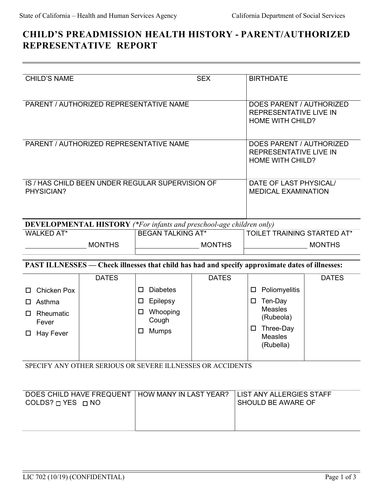## CHILD'S PREADMISSION HEALTH HISTORY - PARENT/AUTHORIZED REPRESENTATIVE REPORT

| <b>CHILD'S NAME</b>                                        |              | <b>SEX</b>                                                                                      |              | <b>BIRTHDATE</b>                               |                                                                                      |              |  |
|------------------------------------------------------------|--------------|-------------------------------------------------------------------------------------------------|--------------|------------------------------------------------|--------------------------------------------------------------------------------------|--------------|--|
| PARENT / AUTHORIZED REPRESENTATIVE NAME                    |              |                                                                                                 |              |                                                | DOES PARENT / AUTHORIZED<br><b>REPRESENTATIVE LIVE IN</b><br><b>HOME WITH CHILD?</b> |              |  |
| PARENT / AUTHORIZED REPRESENTATIVE NAME                    |              |                                                                                                 |              |                                                | DOES PARENT / AUTHORIZED<br><b>REPRESENTATIVE LIVE IN</b><br><b>HOME WITH CHILD?</b> |              |  |
| PHYSICIAN?                                                 |              | IS / HAS CHILD BEEN UNDER REGULAR SUPERVISION OF                                                |              |                                                | DATE OF LAST PHYSICAL/<br><b>MEDICAL EXAMINATION</b>                                 |              |  |
|                                                            |              | <b>DEVELOPMENTAL HISTORY</b> (*For infants and preschool-age children only)                     |              |                                                |                                                                                      |              |  |
| WALKED AT*                                                 |              | <b>BEGAN TALKING AT*</b>                                                                        |              |                                                | TOILET TRAINING STARTED AT*                                                          |              |  |
| <b>MONTHS</b>                                              |              | <b>MONTHS</b>                                                                                   |              |                                                | <b>MONTHS</b>                                                                        |              |  |
|                                                            |              | PAST ILLNESSES - Check illnesses that child has had and specify approximate dates of illnesses: |              |                                                |                                                                                      |              |  |
|                                                            | <b>DATES</b> |                                                                                                 | <b>DATES</b> |                                                |                                                                                      | <b>DATES</b> |  |
| <b>Chicken Pox</b>                                         |              | <b>Diabetes</b><br>□                                                                            |              | □                                              | Poliomyelitis                                                                        |              |  |
| Asthma<br>□                                                |              | Epilepsy<br>□                                                                                   |              | $\Box$                                         | Ten-Day                                                                              |              |  |
| Rheumatic<br>□                                             |              | Whooping<br>$\Box$<br>Cough                                                                     |              |                                                | <b>Measles</b><br>(Rubeola)                                                          |              |  |
| Fever<br>$\Box$ Hay Fever                                  |              | <b>Mumps</b><br>□                                                                               |              | $\Box$                                         | Three-Day<br><b>Measles</b><br>(Rubella)                                             |              |  |
| SPECIFY ANY OTHER SERIOUS OR SEVERE ILLNESSES OR ACCIDENTS |              |                                                                                                 |              |                                                |                                                                                      |              |  |
| DOES CHILD HAVE FREQUENT<br>COLDS? $\Box$ YES $\Box$ NO    |              | HOW MANY IN LAST YEAR?                                                                          |              | LIST ANY ALLERGIES STAFF<br>SHOULD BE AWARE OF |                                                                                      |              |  |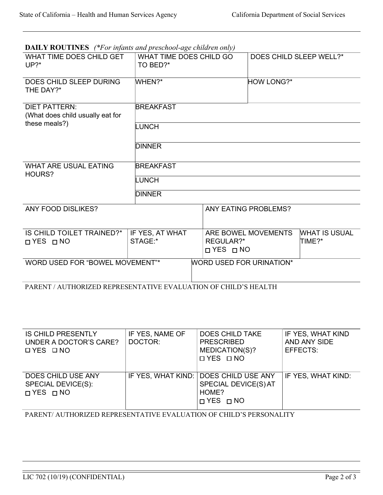| <b>DAILY ROUTINES</b> (*For infants and preschool-age children only) |  |
|----------------------------------------------------------------------|--|
|----------------------------------------------------------------------|--|

| WHAT TIME DOES CHILD GET<br>UP?                                 | WHAT TIME DOES CHILD GO<br>TO BED?* |                                   |                                 | DOES CHILD SLEEP WELL?*        |  |
|-----------------------------------------------------------------|-------------------------------------|-----------------------------------|---------------------------------|--------------------------------|--|
| DOES CHILD SLEEP DURING<br>THE DAY?*                            | WHEN?*                              |                                   | <b>HOW LONG?*</b>               |                                |  |
| <b>DIET PATTERN:</b><br>(What does child usually eat for        | <b>BREAKFAST</b>                    |                                   |                                 |                                |  |
| these meals?)                                                   | <b>LUNCH</b>                        |                                   |                                 |                                |  |
|                                                                 | <b>DINNER</b>                       |                                   |                                 |                                |  |
| <b>WHAT ARE USUAL EATING</b><br>HOURS?                          | <b>BREAKFAST</b>                    |                                   |                                 |                                |  |
|                                                                 | <b>LUNCH</b>                        |                                   |                                 |                                |  |
|                                                                 | <b>DINNER</b>                       |                                   |                                 |                                |  |
| ANY FOOD DISLIKES?                                              |                                     |                                   | <b>ANY EATING PROBLEMS?</b>     |                                |  |
| IS CHILD TOILET TRAINED?*<br>DYES □ NO                          | IF YES, AT WHAT<br>STAGE:*          | REGULAR?*<br>$\Box$ YES $\Box$ NO | ARE BOWEL MOVEMENTS             | <b>WHAT IS USUAL</b><br>TIME?* |  |
| WORD USED FOR "BOWEL MOVEMENT"*                                 |                                     |                                   | <b>WORD USED FOR URINATION*</b> |                                |  |
| PARENT / AUTHORIZED REPRESENTATIVE EVALUATION OF CHILD'S HEALTH |                                     |                                   |                                 |                                |  |

| <b>IS CHILD PRESENTLY</b><br>UNDER A DOCTOR'S CARE?<br>OYES ONO  | IF YES, NAME OF<br>DOCTOR: | <b>DOES CHILD TAKE</b><br><b>PRESCRIBED</b><br>MEDICATION(S)?<br><b>□ YES □ NO</b>             | IF YES, WHAT KIND<br>AND ANY SIDE<br>EFFECTS: |
|------------------------------------------------------------------|----------------------------|------------------------------------------------------------------------------------------------|-----------------------------------------------|
| DOES CHILD USE ANY<br>SPECIAL DEVICE(S):<br>$\Box$ YES $\Box$ NO |                            | IF YES, WHAT KIND: DOES CHILD USE ANY<br>SPECIAL DEVICE(S) AT<br>HOME?<br>$\Box$ YES $\Box$ NO | IF YES, WHAT KIND:                            |

PARENT/ AUTHORIZED REPRESENTATIVE EVALUATION OF CHILD'S PERSONALITY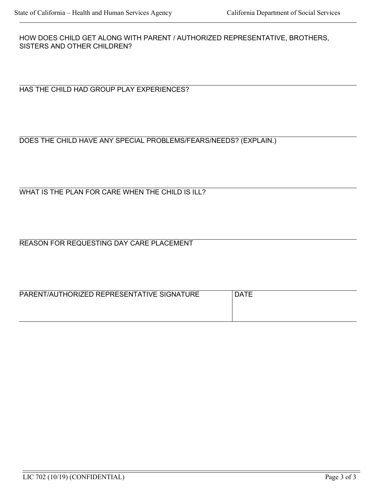HOW DOES CHILD GET ALONG WITH PARENT / AUTHORIZED REPRESENTATIVE, BROTHERS, SISTERS AND OTHER CHILDREN?

HAS THE CHILD HAD GROUP PLAY EXPERIENCES?

#### DOES THE CHILD HAVE ANY SPECIAL PROBLEMS/FEARS/NEEDS? (EXPLAIN.)

WHAT IS THE PLAN FOR CARE WHEN THE CHILD IS ILL?

REASON FOR REQUESTING DAY CARE PLACEMENT

| PARENT/AUTHORIZED REPRESENTATIVE SIGNATURE | <b>DATE</b> |
|--------------------------------------------|-------------|
|                                            |             |
|                                            |             |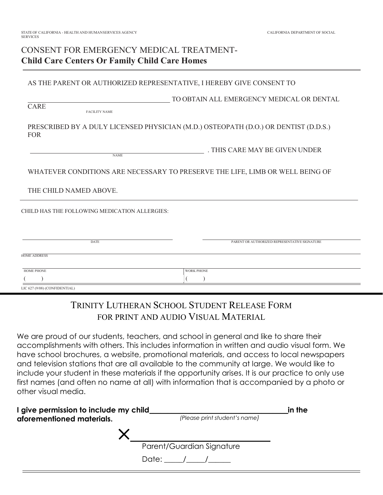### CONSENT FOR EMERGENCY MEDICAL TREATMENT-Child Care Centers Or Family Child Care Homes

AS THE PARENT OR AUTHORIZED REPRESENTATIVE, I HEREBY GIVE CONSENT TO

TO OBTAIN ALL EMERGENCY MEDICAL OR DENTAL

FACILITY NAME

CARE

PRESCRIBED BY A DULY LICENSED PHYSICIAN (M.D.) OSTEOPATH (D.O.) OR DENTIST (D.D.S.) FOR

NAME

. THIS CARE MAY BE GIVEN UNDER

WHATEVER CONDITIONS ARE NECESSARY TO PRESERVE THE LIFE, LIMB OR WELL BEING OF

THE CHILD NAMED ABOVE.

CHILD HAS THE FOLLOWING MEDICATION ALLERGIES:

| DATE                          | PARENT OR AUTHORIZED REPRESENTATIVE SIGNATURE |
|-------------------------------|-----------------------------------------------|
| <b>HOME ADDRESS</b>           |                                               |
| <b>HOME PHONE</b>             | <b>WORK PHONE</b>                             |
|                               |                                               |
| LIC 627 (9/08) (CONFIDENTIAL) |                                               |

## TRINITY LUTHERAN SCHOOL STUDENT RELEASE FORM FOR PRINT AND AUDIO VISUAL MATERIAL

We are proud of our students, teachers, and school in general and like to share their accomplishments with others. This includes information in written and audio visual form. We have school brochures, a website, promotional materials, and access to local newspapers and television stations that are all available to the community at large. We would like to include your student in these materials if the opportunity arises. It is our practice to only use first names (and often no name at all) with information that is accompanied by a photo or other visual media.

| I give permission to include my child | in the                        |  |
|---------------------------------------|-------------------------------|--|
| aforementioned materials.             | (Please print student's name) |  |
|                                       |                               |  |
|                                       | Parent/Guardian Signature     |  |
|                                       | Date: $/$ /                   |  |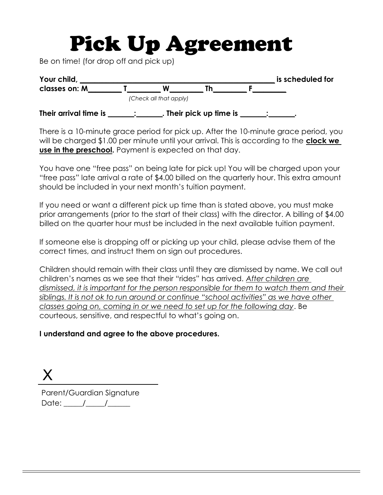# Pick Up Agreement

Be on time! (for drop off and pick up)

| Your child,           |                        |                         |  | is scheduled for |
|-----------------------|------------------------|-------------------------|--|------------------|
| classes on: M         |                        |                         |  |                  |
|                       | (Check all that apply) |                         |  |                  |
| Their arrival time is |                        | . Their pick up time is |  |                  |

There is a 10-minute grace period for pick up. After the 10-minute grace period, you will be charged \$1.00 per minute until your arrival. This is according to the **clock we** use in the preschool. Payment is expected on that day.

You have one "free pass" on being late for pick up! You will be charged upon your "free pass" late arrival a rate of \$4.00 billed on the quarterly hour. This extra amount should be included in your next month's tuition payment.

If you need or want a different pick up time than is stated above, you must make prior arrangements (prior to the start of their class) with the director. A billing of \$4.00 billed on the quarter hour must be included in the next available tuition payment.

If someone else is dropping off or picking up your child, please advise them of the correct times, and instruct them on sign out procedures.

Children should remain with their class until they are dismissed by name. We call out children's names as we see that their "rides" has arrived. After children are dismissed, it is important for the person responsible for them to watch them and their siblings. It is not ok to run around or continue "school activities" as we have other classes going on, coming in or we need to set up for the following day. Be courteous, sensitive, and respectful to what's going on.

#### I understand and agree to the above procedures.

X

Parent/Guardian Signature Date:  $\frac{\sqrt{2}}{2}$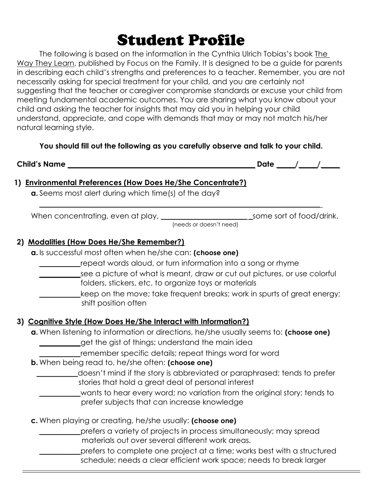# Student Profile

 The following is based on the information in the Cynthia Ulrich Tobias's book The Way They Learn, published by Focus on the Family. It is designed to be a guide for parents in describing each child's strengths and preferences to a teacher. Remember, you are not necessarily asking for special treatment for your child, and you are certainly not suggesting that the teacher or caregiver compromise standards or excuse your child from meeting fundamental academic outcomes. You are sharing what you know about your child and asking the teacher for insights that may aid you in helping your child understand, appreciate, and cope with demands that may or may not match his/her natural learning style.

#### You should fill out the following as you carefully observe and talk to your child.

\_\_\_\_\_\_\_\_\_\_\_\_\_\_\_\_\_\_\_\_\_\_\_\_\_\_\_\_\_\_\_\_\_\_\_\_\_\_\_\_\_\_\_\_\_\_\_\_\_\_\_\_\_\_\_\_\_\_\_\_\_\_\_\_\_\_\_\_\_\_\_\_\_\_\_

Child's Name \_\_\_\_\_\_\_\_\_\_\_\_\_\_\_\_\_\_\_\_\_\_\_\_\_\_\_\_\_\_\_\_\_\_\_\_\_\_\_\_\_\_\_\_\_\_\_\_\_\_ Date \_\_\_\_\_/\_\_\_\_\_/\_\_\_\_\_

#### 1) Environmental Preferences (How Does He/She Concentrate?)

a. Seems most alert during which time(s) of the day?

When concentrating, even at play, \_\_\_\_\_\_\_\_\_\_\_\_\_\_\_\_\_\_\_\_\_\_\_\_\_\_\_\_\_\_some sort of food/drink.

(needs or doesn't need)

# 2) Modalities (How Does He/She Remember?)

a. Is successful most often when he/she can: (choose one)

- \_\_\_\_\_\_\_\_\_\_\_repeat words aloud, or turn information into a song or rhyme
- see a picture of what is meant, draw or cut out pictures, or use colorful folders, stickers, etc, to organize toys or materials
	- \_\_\_\_\_\_\_\_\_\_\_keep on the move; take frequent breaks; work in spurts of great energy; shift position often

#### 3) Cognitive Style (How Does He/She Interact with Information?)

- a. When listening to information or directions, he/she usually seems to: (choose one)
	- \_\_\_\_\_\_\_\_\_\_\_get the gist of things; understand the main idea
		- \_\_\_\_\_\_\_\_\_\_\_remember specific details; repeat things word for word
- **b.** When being read to, he/she often: (choose one)
	- \_\_\_\_\_\_\_\_\_\_\_doesn't mind if the story is abbreviated or paraphrased; tends to prefer stories that hold a great deal of personal interest
	- wants to hear every word; no variation from the original story; tends to prefer subjects that can increase knowledge
- c. When playing or creating, he/she usually: (choose one)
	- prefers a variety of projects in process simultaneously; may spread materials out over several different work areas.
	- prefers to complete one project at a time; works best with a structured schedule; needs a clear efficient work space; needs to break larger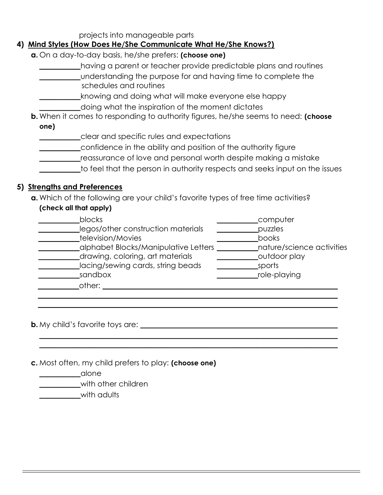projects into manageable parts

#### 4) Mind Styles (How Does He/She Communicate What He/She Knows?)

- a. On a day-to-day basis, he/she prefers: (choose one)
	- having a parent or teacher provide predictable plans and routines
	- \_\_\_\_\_\_\_\_\_\_\_understanding the purpose for and having time to complete the schedules and routines
	- knowing and doing what will make everyone else happy
		- \_\_\_\_\_\_\_\_\_\_\_doing what the inspiration of the moment dictates
- **b.** When it comes to responding to authority figures, he/she seems to need: (choose one)
	- \_\_\_\_\_\_\_\_\_\_\_clear and specific rules and expectations
	- \_\_\_\_\_\_\_\_\_\_\_confidence in the ability and position of the authority figure
	- \_\_\_\_\_\_\_\_\_\_\_reassurance of love and personal worth despite making a mistake
	- \_\_\_\_\_\_\_\_\_\_\_to feel that the person in authority respects and seeks input on the issues

#### 5) Strengths and Preferences

a. Which of the following are your child's favorite types of free time activities? (check all that apply)

| blocks                               | computer                  |
|--------------------------------------|---------------------------|
| legos/other construction materials   | puzzles                   |
| television/Movies                    | books                     |
| alphabet Blocks/Manipulative Letters | nature/science activities |
| drawing, coloring, art materials     | outdoor play              |
| lacing/sewing cards, string beads    | sports                    |
| sandbox                              | role-playing              |
| other:                               |                           |
|                                      |                           |

\_\_\_\_\_\_\_\_\_\_\_\_\_\_\_\_\_\_\_\_\_\_\_\_\_\_\_\_\_\_\_\_\_\_\_\_\_\_\_\_\_\_\_\_\_\_\_\_\_\_\_\_\_\_\_\_\_\_\_\_\_\_\_\_\_\_\_\_\_\_\_\_\_\_\_\_\_\_\_\_  $\_$  ,  $\_$  ,  $\_$  ,  $\_$  ,  $\_$  ,  $\_$  ,  $\_$  ,  $\_$  ,  $\_$  ,  $\_$  ,  $\_$  ,  $\_$  ,  $\_$  ,  $\_$  ,  $\_$  ,  $\_$  ,  $\_$  ,  $\_$  ,  $\_$  ,  $\_$  ,  $\_$  ,  $\_$  ,  $\_$  ,  $\_$  ,  $\_$  ,  $\_$  ,  $\_$  ,  $\_$  ,  $\_$  ,  $\_$  ,  $\_$  ,  $\_$  ,  $\_$  ,  $\_$  ,  $\_$  ,  $\_$  ,  $\_$  ,

\_\_\_\_\_\_\_\_\_\_\_\_\_\_\_\_\_\_\_\_\_\_\_\_\_\_\_\_\_\_\_\_\_\_\_\_\_\_\_\_\_\_\_\_\_\_\_\_\_\_\_\_\_\_\_\_\_\_\_\_\_\_\_\_\_\_\_\_\_\_\_\_\_\_\_\_\_\_\_\_

**b.** My child's favorite toys are:

c. Most often, my child prefers to play: (choose one)

\_\_\_\_\_\_\_\_\_\_\_alone

with other children

with adults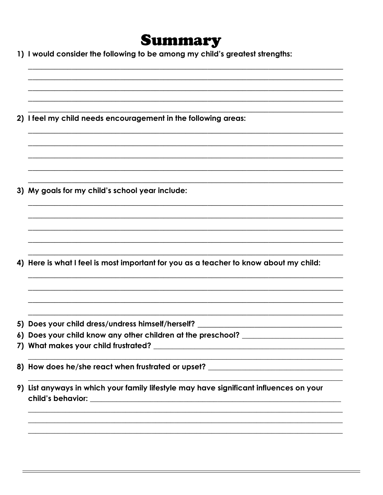# Summary

1) I would consider the following to be among my child's greatest strengths:

2) I feel my child needs encouragement in the following areas:

3) My goals for my child's school year include:

4) Here is what I feel is most important for you as a teacher to know about my child:

- 5) Does your child dress/undress himself/herself?
- 6) Does your child know any other children at the preschool?
- 
- 8) How does he/she react when frustrated or upset? \_\_\_\_\_\_\_\_\_\_\_\_\_\_\_\_\_\_\_\_\_\_\_\_\_\_\_\_\_
- 9) List anyways in which your family lifestyle may have significant influences on your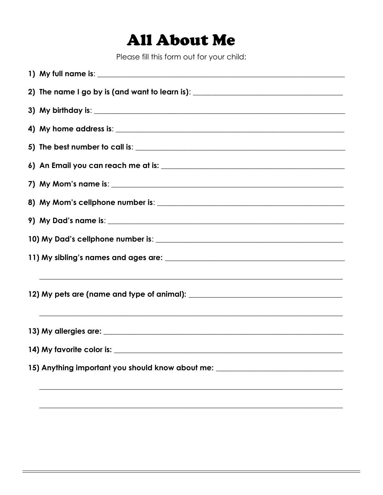# **All About Me**

Please fill this form out for your child:

| 2) The name I go by is (and want to learn is): _________________________________                                      |
|-----------------------------------------------------------------------------------------------------------------------|
|                                                                                                                       |
|                                                                                                                       |
|                                                                                                                       |
|                                                                                                                       |
|                                                                                                                       |
|                                                                                                                       |
|                                                                                                                       |
|                                                                                                                       |
|                                                                                                                       |
|                                                                                                                       |
|                                                                                                                       |
|                                                                                                                       |
| 15) Anything important you should know about me: _______________________________                                      |
| <u> 1989 - Johann Stoff, deutscher Stoff als der Stoff als der Stoff als der Stoff als der Stoff als der Stoff al</u> |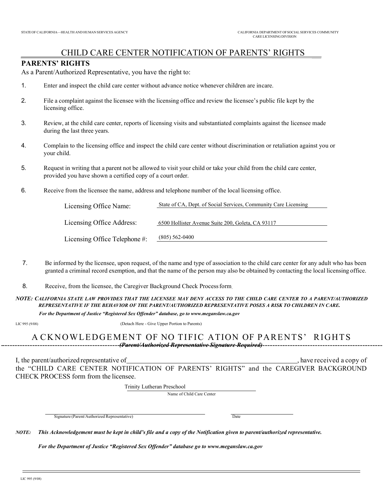#### CHILD CARE CENTER NOTIFICATION OF PARENTS' RIGHTS

#### PARENTS' RIGHTS

As a Parent/Authorized Representative, you have the right to:

- 1. Enter and inspect the child care center without advance notice whenever children are in care.
- 2. File a complaint against the licensee with the licensing office and review the licensee's public file kept by the licensing office.
- 3. Review, at the child care center, reports of licensing visits and substantiated complaints against the licensee made during the last three years.
- 4. Complain to the licensing office and inspect the child care center without discrimination or retaliation against you or your child.
- 5. Request in writing that a parent not be allowed to visit your child or take your child from the child care center, provided you have shown a certified copy of a court order.
- 6. Receive from the licensee the name, address and telephone number of the local licensing office.

| Licensing Office Name:        | State of CA, Dept. of Social Services, Community Care Licensing |
|-------------------------------|-----------------------------------------------------------------|
|                               |                                                                 |
| Licensing Office Address:     | 6500 Hollister Avenue Suite 200, Goleta, CA 93117               |
|                               |                                                                 |
| Licensing Office Telephone #: | $(805)$ 562-0400                                                |
|                               |                                                                 |

- 7. Be informed by the licensee, upon request, of the name and type of association to the child care center for any adult who has been granted a criminal record exemption, and that the name of the person may also be obtained by contacting the local licensing office.
- 8. Receive, from the licensee, the Caregiver Background Check Process form.
- NOTE: CALIFORNIA STATE LAW PROVIDES THAT THE LICENSEE MAY DENY ACCESS TO THE CHILD CARE CENTER TO A PARENT/AUTHORIZED REPRESENTATIVE IF THE BEHAVIOR OF THE PARENT/AUTHORIZED REPRESENTATIVE POSES A RISK TO CHILDREN IN CARE.

For the Department of Justice "Registered Sex Offender" database, go to www.meganslaw.ca.gov

LIC 995 (9/08) (Detach Here - Give Upper Portion to Parents)

#### A CKNOWLEDGEMENT OF NO TIFIC ATION OF PARENTS' RIGHTS --------------(Parent/Authorized Representative Signature-Required)-------------

I, the parent/authorized representative of , have received a copy of , have received a copy of the "CHILD CARE CENTER NOTIFICATION OF PARENTS' RIGHTS" and the CAREGIVER BACKGROUND CHECK PROCESS form from the licensee.

Trinity Lutheran Preschool

Name of Child Care Center

Signature (Parent/Authorized Representative) Date

NOTE: This Acknowledgement must be kept in child's file and a copy of the Notification given to parent/authorized representative.

For the Department of Justice "Registered Sex Offender" database go to www.meganslaw.ca.gov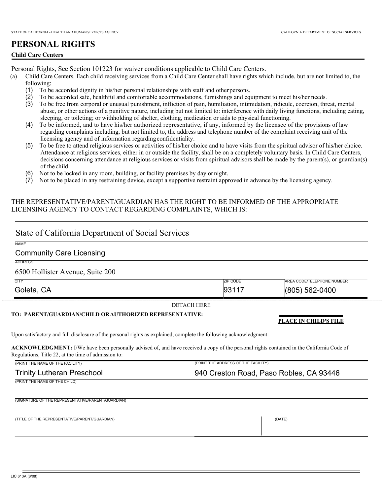#### PERSONAL RIGHTS

#### Child Care Centers

Personal Rights, See Section 101223 for waiver conditions applicable to Child Care Centers.

- (a) Child Care Centers. Each child receiving services from a Child Care Center shall have rights which include, but are not limited to, the following:
	- (1) To be accorded dignity in his/her personal relationships with staff and other persons.
	- (2) To be accorded safe, healthful and comfortable accommodations, furnishings and equipment to meet his/her needs.
	- (3) To be free from corporal or unusual punishment, infliction of pain, humiliation, intimidation, ridicule, coercion, threat, mental abuse, or other actions of a punitive nature, including but not limited to: interference with daily living functions, including eating, sleeping, or toileting; or withholding of shelter, clothing, medication or aids to physical functioning.
	- (4) To be informed, and to have his/her authorized representative, if any, informed by the licensee of the provisions of law regarding complaints including, but not limited to, the address and telephone number of the complaint receiving unit of the licensing agency and of information regarding confidentiality.
	- (5) To be free to attend religious services or activities of his/her choice and to have visits from the spiritual advisor of his/her choice. Attendance at religious services, either in or outside the facility, shall be on a completely voluntary basis. In Child Care Centers, decisions concerning attendance at religious services or visits from spiritual advisors shall be made by the parent(s), or guardian(s) of the child.
	- (6) Not to be locked in any room, building, or facility premises by day or night.
	- (7) Not to be placed in any restraining device, except a supportive restraint approved in advance by the licensing agency.

#### THE REPRESENTATIVE/PARENT/GUARDIAN HAS THE RIGHT TO BE INFORMED OF THE APPROPRIATE LICENSING AGENCY TO CONTACT REGARDING COMPLAINTS, WHICH IS:

|                                                                                                                                                                                                         | State of California Department of Social Services |                                         |
|---------------------------------------------------------------------------------------------------------------------------------------------------------------------------------------------------------|---------------------------------------------------|-----------------------------------------|
| <b>NAME</b>                                                                                                                                                                                             |                                                   |                                         |
| <b>Community Care Licensing</b>                                                                                                                                                                         |                                                   |                                         |
| <b>ADDRESS</b>                                                                                                                                                                                          |                                                   |                                         |
| 6500 Hollister Avenue, Suite 200                                                                                                                                                                        |                                                   |                                         |
| <b>CITY</b>                                                                                                                                                                                             | <b>ZIP CODE</b>                                   | AREA CODE/TELEPHONE NUMBER              |
| Goleta, CA                                                                                                                                                                                              | 93117                                             | (805) 562-0400                          |
|                                                                                                                                                                                                         | <b>DETACH HERE</b>                                |                                         |
| TO: PARENT/GUARDIAN/CHILD ORAUTHORIZED REPRESENTATIVE:                                                                                                                                                  |                                                   |                                         |
|                                                                                                                                                                                                         |                                                   | <b>PLACE IN CHILD'S FILE</b>            |
|                                                                                                                                                                                                         |                                                   |                                         |
|                                                                                                                                                                                                         |                                                   |                                         |
| Upon satisfactory and full disclosure of the personal rights as explained, complete the following acknowledgment:                                                                                       |                                                   |                                         |
| <b>ACKNOWLEDGMENT:</b> I/We have been personally advised of, and have received a copy of the personal rights contained in the California Code of<br>Regulations, Title 22, at the time of admission to: |                                                   |                                         |
| (PRINT THE NAME OF THE FACILITY)                                                                                                                                                                        | (PRINT THE ADDRESS OF THE FACILITY)               |                                         |
| <b>Trinity Lutheran Preschool</b>                                                                                                                                                                       |                                                   | 940 Creston Road, Paso Robles, CA 93446 |
| (PRINT THE NAME OF THE CHILD)                                                                                                                                                                           |                                                   |                                         |
|                                                                                                                                                                                                         |                                                   |                                         |
| (SIGNATURE OF THE REPRESENTATIVE/PARENT/GUARDIAN)                                                                                                                                                       |                                                   |                                         |
|                                                                                                                                                                                                         |                                                   |                                         |
|                                                                                                                                                                                                         |                                                   |                                         |
| (TITLE OF THE REPRESENTATIVE/PARENT/GUARDIAN)                                                                                                                                                           |                                                   | (DATE)                                  |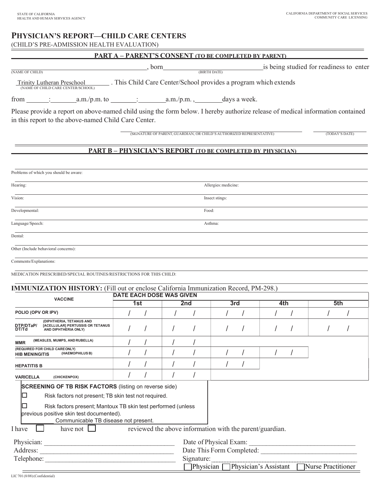#### PHYSICIAN'S REPORT—CHILD CARE CENTERS

(CHILD'S PRE-ADMISSION HEALTH EVALUATION)

|                                                      | <b>PART A - PARENT'S CONSENT (TO BE COMPLETED BY PARENT)</b>                                                                                           |                                                                                                                                |
|------------------------------------------------------|--------------------------------------------------------------------------------------------------------------------------------------------------------|--------------------------------------------------------------------------------------------------------------------------------|
| (NAME OF CHILD)                                      | , born<br>(BIRTH DATE)                                                                                                                                 | is being studied for readiness to enter                                                                                        |
|                                                      | $\frac{\text{Trinity Lutheran Preschool}}{\text{(NAME OF CHILD CARE CENTER/SCHOOL)}}$ . This Child Care Center/School provides a program which extends |                                                                                                                                |
|                                                      | from $\frac{\cdot}{\cdot}$ a.m./p.m. to $\frac{\cdot}{\cdot}$ a.m./p.m., days a week.                                                                  |                                                                                                                                |
| in this report to the above-named Child Care Center. |                                                                                                                                                        | Please provide a report on above-named child using the form below. I hereby authorize release of medical information contained |
|                                                      | (SIGNATURE OF PARENT, GUARDIAN, OR CHILD'S AUTHORIZED REPRESENTATIVE)                                                                                  | (TODAY'S DATE)                                                                                                                 |
|                                                      | <b>PART B - PHYSICIAN'S REPORT (TO BE COMPLETED BY PHYSICIAN)</b>                                                                                      |                                                                                                                                |
|                                                      |                                                                                                                                                        |                                                                                                                                |
| Problems of which you should be aware:               |                                                                                                                                                        |                                                                                                                                |
| Hearing:                                             |                                                                                                                                                        | Allergies: medicine:                                                                                                           |
| Vision:                                              | Insect stings:                                                                                                                                         |                                                                                                                                |
| Developmental:                                       | Food:                                                                                                                                                  |                                                                                                                                |

Language/Speech: Asthma:

Dental:

Other (Include behavioral concerns):

Comments/Explanations:

MEDICATION PRESCRIBED/SPECIAL ROUTINES/RESTRICTIONS FOR THIS CHILD:

| <b>VACCINE</b>                                                                                                                                                                                                                                                            |     |  | <b>DATE EACH DOSE WAS GIVEN</b>                          |            |                           |     |  |     |  |     |  |
|---------------------------------------------------------------------------------------------------------------------------------------------------------------------------------------------------------------------------------------------------------------------------|-----|--|----------------------------------------------------------|------------|---------------------------|-----|--|-----|--|-----|--|
|                                                                                                                                                                                                                                                                           | 1st |  |                                                          | 2nd        |                           | 3rd |  | 4th |  | 5th |  |
| POLIO (OPV OR IPV)                                                                                                                                                                                                                                                        |     |  |                                                          |            |                           |     |  |     |  |     |  |
| (DIPHTHERIA, TETANUS AND<br>DTP/DTaP/<br>[ACELLULAR] PERTUSSIS OR TETANUS<br>DT/Td<br>AND DIPHTHERIA ONLY)                                                                                                                                                                |     |  |                                                          |            |                           |     |  |     |  |     |  |
| (MEASLES, MUMPS, AND RUBELLA)<br><b>MMR</b>                                                                                                                                                                                                                               |     |  |                                                          |            |                           |     |  |     |  |     |  |
| (REQUIRED FOR CHILD CAREONLY)<br>(HAEMOPHILUS B)<br><b>HIB MENINGITIS</b>                                                                                                                                                                                                 |     |  |                                                          |            |                           |     |  |     |  |     |  |
| <b>HEPATITIS B</b>                                                                                                                                                                                                                                                        |     |  |                                                          |            |                           |     |  |     |  |     |  |
| <b>VARICELLA</b><br>(CHICKENPOX)                                                                                                                                                                                                                                          |     |  |                                                          |            |                           |     |  |     |  |     |  |
| <b>SCREENING OF TB RISK FACTORS</b> (listing on reverse side)<br>Risk factors not present; TB skin test not required.<br>Risk factors present; Mantoux TB skin test performed (unless<br>previous positive skin test documented).<br>Communicable TB disease not present. |     |  |                                                          |            |                           |     |  |     |  |     |  |
| I have<br>have not $\Box$                                                                                                                                                                                                                                                 |     |  | reviewed the above information with the parent/guardian. |            |                           |     |  |     |  |     |  |
| Physician:                                                                                                                                                                                                                                                                |     |  |                                                          |            | Date of Physical Exam:    |     |  |     |  |     |  |
| Address:                                                                                                                                                                                                                                                                  |     |  |                                                          |            | Date This Form Completed: |     |  |     |  |     |  |
| Telephone:                                                                                                                                                                                                                                                                |     |  |                                                          | Signature: |                           |     |  |     |  |     |  |

Physician Physician's Assistant Nurse Practitioner